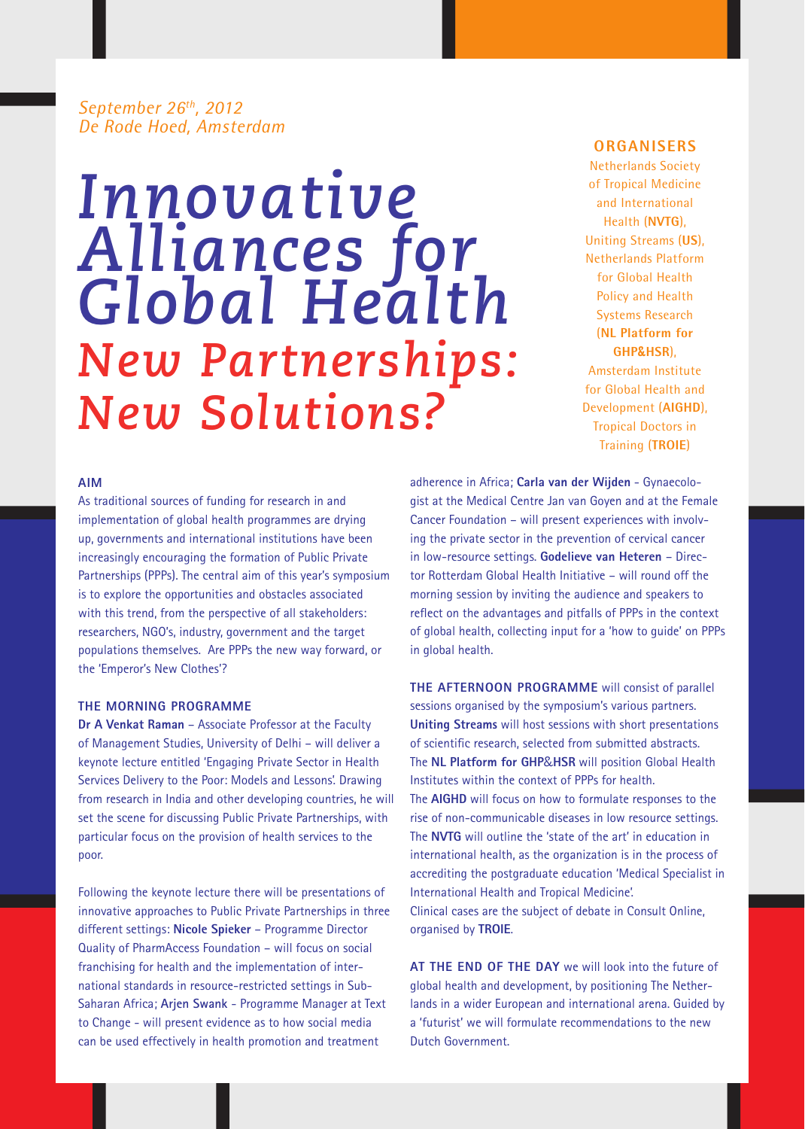# *September 26th, 2012 De Rode Hoed, Amsterdam*

# *Innovative Alliances for Global Health New Partnerships: New Solutions?*

## **Organisers**

Netherlands Society of Tropical Medicine and International Health (**NVTG**), Uniting Streams (**US**), Netherlands Platform for Global Health Policy and Health Systems Research (**NL Platform for GHP&HSR**), Amsterdam Institute for Global Health and Development (**AIGHD**), Tropical Doctors in Training (**TROIE**)

# **Aim**

As traditional sources of funding for research in and implementation of global health programmes are drying up, governments and international institutions have been increasingly encouraging the formation of Public Private Partnerships (PPPs). The central aim of this year's symposium is to explore the opportunities and obstacles associated with this trend, from the perspective of all stakeholders: researchers, NGO's, industry, government and the target populations themselves. Are PPPs the new way forward, or the 'Emperor's New Clothes'?

# **THE MORNING PROGRAMME**

**Dr A Venkat Raman** – Associate Professor at the Faculty of Management Studies, University of Delhi – will deliver a keynote lecture entitled 'Engaging Private Sector in Health Services Delivery to the Poor: Models and Lessons'. Drawing from research in India and other developing countries, he will set the scene for discussing Public Private Partnerships, with particular focus on the provision of health services to the poor.

Following the keynote lecture there will be presentations of innovative approaches to Public Private Partnerships in three different settings: **Nicole Spieker** – Programme Director Quality of PharmAccess Foundation – will focus on social franchising for health and the implementation of international standards in resource-restricted settings in Sub-Saharan Africa; **Arjen Swank** - Programme Manager at Text to Change - will present evidence as to how social media can be used effectively in health promotion and treatment

adherence in Africa; **Carla van der Wijden** - Gynaecologist at the Medical Centre Jan van Goyen and at the Female Cancer Foundation – will present experiences with involving the private sector in the prevention of cervical cancer in low-resource settings. **Godelieve van Heteren** – Director Rotterdam Global Health Initiative – will round off the morning session by inviting the audience and speakers to reflect on the advantages and pitfalls of PPPs in the context of global health, collecting input for a 'how to guide' on PPPs in global health.

**THE AFTERNOON PROGRAMME** will consist of parallel sessions organised by the symposium's various partners. **Uniting Streams** will host sessions with short presentations of scientific research, selected from submitted abstracts. The **NL Platform for GHP**&**HSR** will position Global Health Institutes within the context of PPPs for health. The **AIGHD** will focus on how to formulate responses to the rise of non-communicable diseases in low resource settings. The **NVTG** will outline the 'state of the art' in education in international health, as the organization is in the process of accrediting the postgraduate education 'Medical Specialist in International Health and Tropical Medicine'. Clinical cases are the subject of debate in Consult Online, organised by **TROIE**.

**AT THE END OF THE DAY** we will look into the future of global health and development, by positioning The Netherlands in a wider European and international arena. Guided by a 'futurist' we will formulate recommendations to the new Dutch Government.